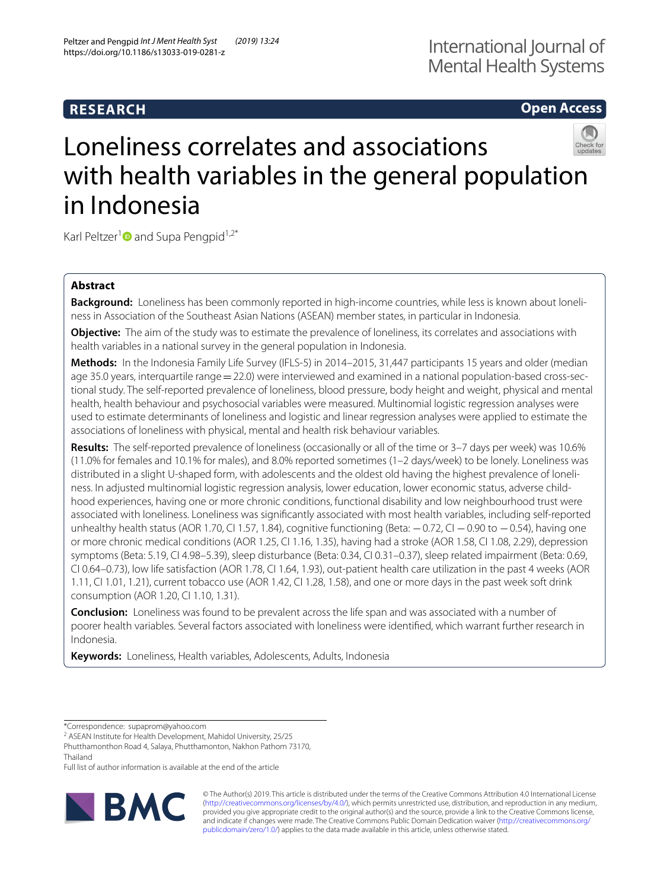## **RESEARCH**

**Open Access**

# Loneliness correlates and associations with health variables in the general population in Indonesia

Karl Peltzer<sup>1</sup> and Supa Pengpid<sup>1,2\*</sup>

## **Abstract**

**Background:** Loneliness has been commonly reported in high-income countries, while less is known about loneliness in Association of the Southeast Asian Nations (ASEAN) member states, in particular in Indonesia.

**Objective:** The aim of the study was to estimate the prevalence of loneliness, its correlates and associations with health variables in a national survey in the general population in Indonesia.

**Methods:** In the Indonesia Family Life Survey (IFLS-5) in 2014–2015, 31,447 participants 15 years and older (median age 35.0 years, interguartile range = 22.0) were interviewed and examined in a national population-based cross-sectional study. The self-reported prevalence of loneliness, blood pressure, body height and weight, physical and mental health, health behaviour and psychosocial variables were measured. Multinomial logistic regression analyses were used to estimate determinants of loneliness and logistic and linear regression analyses were applied to estimate the associations of loneliness with physical, mental and health risk behaviour variables.

**Results:** The self-reported prevalence of loneliness (occasionally or all of the time or 3–7 days per week) was 10.6% (11.0% for females and 10.1% for males), and 8.0% reported sometimes (1–2 days/week) to be lonely. Loneliness was distributed in a slight U-shaped form, with adolescents and the oldest old having the highest prevalence of loneliness. In adjusted multinomial logistic regression analysis, lower education, lower economic status, adverse childhood experiences, having one or more chronic conditions, functional disability and low neighbourhood trust were associated with loneliness. Loneliness was signifcantly associated with most health variables, including self-reported unhealthy health status (AOR 1.70, CI 1.57, 1.84), cognitive functioning (Beta: −0.72, CI −0.90 to −0.54), having one or more chronic medical conditions (AOR 1.25, CI 1.16, 1.35), having had a stroke (AOR 1.58, CI 1.08, 2.29), depression symptoms (Beta: 5.19, CI 4.98–5.39), sleep disturbance (Beta: 0.34, CI 0.31–0.37), sleep related impairment (Beta: 0.69, CI 0.64–0.73), low life satisfaction (AOR 1.78, CI 1.64, 1.93), out-patient health care utilization in the past 4 weeks (AOR 1.11, CI 1.01, 1.21), current tobacco use (AOR 1.42, CI 1.28, 1.58), and one or more days in the past week soft drink consumption (AOR 1.20, CI 1.10, 1.31).

**Conclusion:** Loneliness was found to be prevalent across the life span and was associated with a number of poorer health variables. Several factors associated with loneliness were identifed, which warrant further research in Indonesia.

**Keywords:** Loneliness, Health variables, Adolescents, Adults, Indonesia

Full list of author information is available at the end of the article



© The Author(s) 2019. This article is distributed under the terms of the Creative Commons Attribution 4.0 International License [\(http://creativecommons.org/licenses/by/4.0/\)](http://creativecommons.org/licenses/by/4.0/), which permits unrestricted use, distribution, and reproduction in any medium, provided you give appropriate credit to the original author(s) and the source, provide a link to the Creative Commons license, and indicate if changes were made. The Creative Commons Public Domain Dedication waiver ([http://creativecommons.org/](http://creativecommons.org/publicdomain/zero/1.0/) [publicdomain/zero/1.0/](http://creativecommons.org/publicdomain/zero/1.0/)) applies to the data made available in this article, unless otherwise stated.

<sup>\*</sup>Correspondence: supaprom@yahoo.com

<sup>&</sup>lt;sup>2</sup> ASEAN Institute for Health Development, Mahidol University, 25/25

Phutthamonthon Road 4, Salaya, Phutthamonton, Nakhon Pathom 73170, Thailand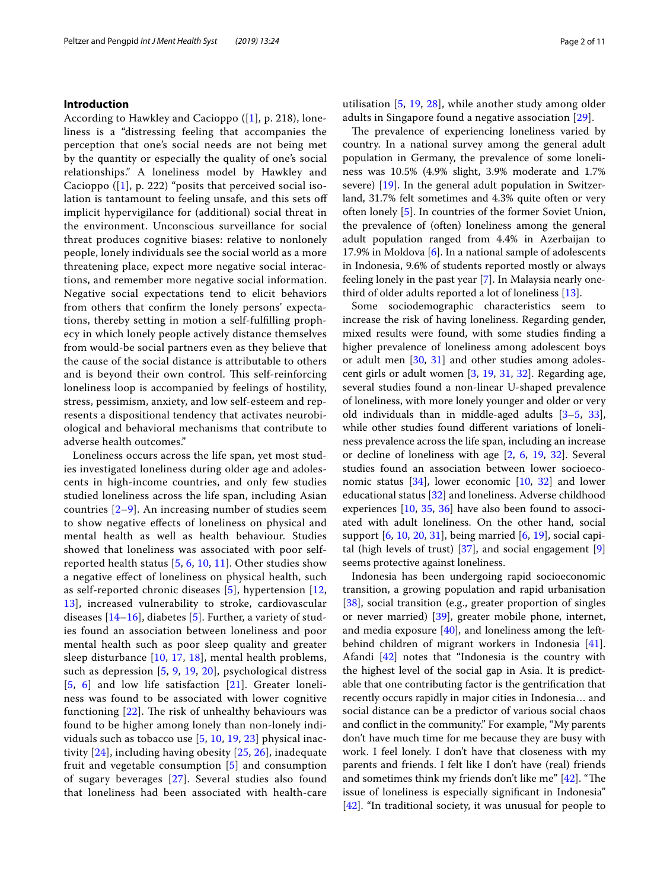#### **Introduction**

According to Hawkley and Cacioppo  $([1], p. 218)$  $([1], p. 218)$  $([1], p. 218)$ , loneliness is a "distressing feeling that accompanies the perception that one's social needs are not being met by the quantity or especially the quality of one's social relationships." A loneliness model by Hawkley and Cacioppo  $([1], p. 222)$  $([1], p. 222)$  $([1], p. 222)$  "posits that perceived social isolation is tantamount to feeling unsafe, and this sets of implicit hypervigilance for (additional) social threat in the environment. Unconscious surveillance for social threat produces cognitive biases: relative to nonlonely people, lonely individuals see the social world as a more threatening place, expect more negative social interactions, and remember more negative social information. Negative social expectations tend to elicit behaviors from others that confrm the lonely persons' expectations, thereby setting in motion a self-fulflling prophecy in which lonely people actively distance themselves from would-be social partners even as they believe that the cause of the social distance is attributable to others and is beyond their own control. This self-reinforcing loneliness loop is accompanied by feelings of hostility, stress, pessimism, anxiety, and low self-esteem and represents a dispositional tendency that activates neurobiological and behavioral mechanisms that contribute to adverse health outcomes."

Loneliness occurs across the life span, yet most studies investigated loneliness during older age and adolescents in high-income countries, and only few studies studied loneliness across the life span, including Asian countries  $[2-9]$  $[2-9]$  $[2-9]$ . An increasing number of studies seem to show negative efects of loneliness on physical and mental health as well as health behaviour. Studies showed that loneliness was associated with poor selfreported health status [[5,](#page-9-2) [6,](#page-9-3) [10,](#page-9-4) [11\]](#page-9-5). Other studies show a negative efect of loneliness on physical health, such as self-reported chronic diseases [\[5](#page-9-2)], hypertension [\[12](#page-9-6), [13\]](#page-9-7), increased vulnerability to stroke, cardiovascular diseases  $[14–16]$  $[14–16]$  $[14–16]$ , diabetes  $[5]$  $[5]$ . Further, a variety of studies found an association between loneliness and poor mental health such as poor sleep quality and greater sleep disturbance [[10](#page-9-4), [17,](#page-9-10) [18](#page-9-11)], mental health problems, such as depression [[5,](#page-9-2) [9,](#page-9-1) [19](#page-9-12), [20\]](#page-9-13), psychological distress [[5](#page-9-2), [6](#page-9-3)] and low life satisfaction [\[21](#page-9-14)]. Greater loneliness was found to be associated with lower cognitive functioning  $[22]$  $[22]$ . The risk of unhealthy behaviours was found to be higher among lonely than non-lonely individuals such as tobacco use [\[5](#page-9-2), [10](#page-9-4), [19](#page-9-12), [23](#page-9-16)] physical inactivity [\[24](#page-9-17)], including having obesity [[25](#page-9-18), [26](#page-9-19)], inadequate fruit and vegetable consumption [[5\]](#page-9-2) and consumption of sugary beverages [[27](#page-9-20)]. Several studies also found that loneliness had been associated with health-care utilisation [[5,](#page-9-2) [19](#page-9-12), [28\]](#page-9-21), while another study among older adults in Singapore found a negative association [[29\]](#page-9-22).

The prevalence of experiencing loneliness varied by country. In a national survey among the general adult population in Germany, the prevalence of some loneliness was 10.5% (4.9% slight, 3.9% moderate and 1.7% severe) [\[19](#page-9-12)]. In the general adult population in Switzerland, 31.7% felt sometimes and 4.3% quite often or very often lonely [\[5](#page-9-2)]. In countries of the former Soviet Union, the prevalence of (often) loneliness among the general adult population ranged from 4.4% in Azerbaijan to 17.9% in Moldova  $[6]$  $[6]$ . In a national sample of adolescents in Indonesia, 9.6% of students reported mostly or always feeling lonely in the past year [[7\]](#page-9-23). In Malaysia nearly onethird of older adults reported a lot of loneliness [\[13](#page-9-7)].

Some sociodemographic characteristics seem to increase the risk of having loneliness. Regarding gender, mixed results were found, with some studies fnding a higher prevalence of loneliness among adolescent boys or adult men [\[30](#page-9-24), [31](#page-9-25)] and other studies among adolescent girls or adult women [[3,](#page-9-26) [19,](#page-9-12) [31](#page-9-25), [32](#page-9-27)]. Regarding age, several studies found a non-linear U-shaped prevalence of loneliness, with more lonely younger and older or very old individuals than in middle-aged adults [\[3–](#page-9-26)[5,](#page-9-2) [33](#page-9-28)], while other studies found diferent variations of loneliness prevalence across the life span, including an increase or decline of loneliness with age [\[2,](#page-9-0) [6](#page-9-3), [19](#page-9-12), [32\]](#page-9-27). Several studies found an association between lower socioeconomic status  $[34]$  $[34]$ , lower economic  $[10, 32]$  $[10, 32]$  $[10, 32]$  $[10, 32]$  $[10, 32]$  and lower educational status [[32\]](#page-9-27) and loneliness. Adverse childhood experiences [\[10](#page-9-4), [35,](#page-9-30) [36\]](#page-9-31) have also been found to associated with adult loneliness. On the other hand, social support  $[6, 10, 20, 31]$  $[6, 10, 20, 31]$  $[6, 10, 20, 31]$  $[6, 10, 20, 31]$  $[6, 10, 20, 31]$  $[6, 10, 20, 31]$  $[6, 10, 20, 31]$  $[6, 10, 20, 31]$  $[6, 10, 20, 31]$ , being married  $[6, 19]$  $[6, 19]$  $[6, 19]$ , social capital (high levels of trust) [\[37](#page-9-32)], and social engagement [\[9](#page-9-1)] seems protective against loneliness.

Indonesia has been undergoing rapid socioeconomic transition, a growing population and rapid urbanisation [[38\]](#page-9-33), social transition (e.g., greater proportion of singles or never married) [[39](#page-9-34)], greater mobile phone, internet, and media exposure [[40](#page-9-35)], and loneliness among the leftbehind children of migrant workers in Indonesia [\[41](#page-9-36)]. Afandi [\[42](#page-9-37)] notes that "Indonesia is the country with the highest level of the social gap in Asia. It is predictable that one contributing factor is the gentrifcation that recently occurs rapidly in major cities in Indonesia… and social distance can be a predictor of various social chaos and confict in the community." For example, "My parents don't have much time for me because they are busy with work. I feel lonely. I don't have that closeness with my parents and friends. I felt like I don't have (real) friends and sometimes think my friends don't like me"  $[42]$  $[42]$  $[42]$ . "The issue of loneliness is especially signifcant in Indonesia" [[42\]](#page-9-37). "In traditional society, it was unusual for people to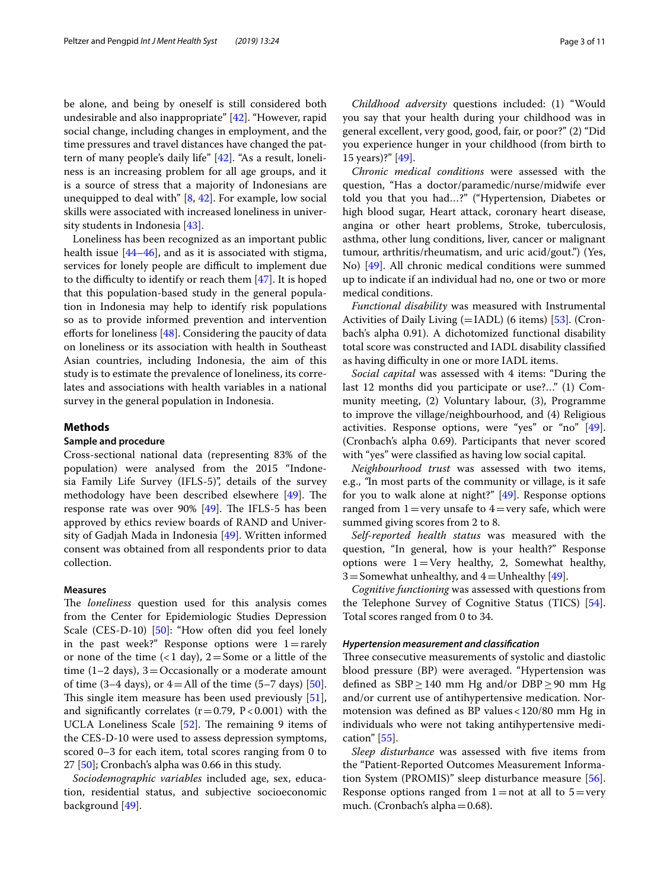be alone, and being by oneself is still considered both undesirable and also inappropriate" [\[42\]](#page-9-37). "However, rapid social change, including changes in employment, and the time pressures and travel distances have changed the pattern of many people's daily life" [[42](#page-9-37)]. "As a result, loneliness is an increasing problem for all age groups, and it is a source of stress that a majority of Indonesians are unequipped to deal with"  $[8, 42]$  $[8, 42]$  $[8, 42]$  $[8, 42]$  $[8, 42]$ . For example, low social skills were associated with increased loneliness in university students in Indonesia [\[43\]](#page-10-0).

Loneliness has been recognized as an important public health issue [[44](#page-10-1)[–46](#page-10-2)], and as it is associated with stigma, services for lonely people are difficult to implement due to the difficulty to identify or reach them  $[47]$  $[47]$ . It is hoped that this population-based study in the general population in Indonesia may help to identify risk populations so as to provide informed prevention and intervention eforts for loneliness [\[48](#page-10-4)]. Considering the paucity of data on loneliness or its association with health in Southeast Asian countries, including Indonesia, the aim of this study is to estimate the prevalence of loneliness, its correlates and associations with health variables in a national survey in the general population in Indonesia.

#### **Methods**

#### **Sample and procedure**

Cross-sectional national data (representing 83% of the population) were analysed from the 2015 "Indonesia Family Life Survey (IFLS-5)", details of the survey methodology have been described elsewhere [\[49](#page-10-5)]. The response rate was over  $90\%$  [\[49\]](#page-10-5). The IFLS-5 has been approved by ethics review boards of RAND and University of Gadjah Mada in Indonesia [[49](#page-10-5)]. Written informed consent was obtained from all respondents prior to data collection.

#### **Measures**

The *loneliness* question used for this analysis comes from the Center for Epidemiologic Studies Depression Scale (CES-D-10) [\[50\]](#page-10-6): "How often did you feel lonely in the past week?" Response options were  $1=$  rarely or none of the time  $(1 \text{ day}), 2 = \text{Some or a little of the}$ time (1–2 days),  $3=$ Occasionally or a moderate amount of time (3–4 days), or  $4=$  All of the time (5–7 days) [\[50](#page-10-6)]. This single item measure has been used previously [\[51](#page-10-7)], and significantly correlates  $(r=0.79, P<0.001)$  with the UCLA Loneliness Scale  $[52]$ . The remaining 9 items of the CES-D-10 were used to assess depression symptoms, scored 0–3 for each item, total scores ranging from 0 to 27 [\[50\]](#page-10-6); Cronbach's alpha was 0.66 in this study.

*Sociodemographic variables* included age, sex, education, residential status, and subjective socioeconomic background [[49\]](#page-10-5).

*Childhood adversity* questions included: (1) "Would you say that your health during your childhood was in general excellent, very good, good, fair, or poor?" (2) "Did you experience hunger in your childhood (from birth to 15 years)?" [\[49\]](#page-10-5).

*Chronic medical conditions* were assessed with the question, "Has a doctor/paramedic/nurse/midwife ever told you that you had…?" ("Hypertension, Diabetes or high blood sugar, Heart attack, coronary heart disease, angina or other heart problems, Stroke, tuberculosis, asthma, other lung conditions, liver, cancer or malignant tumour, arthritis/rheumatism, and uric acid/gout.") (Yes, No) [\[49](#page-10-5)]. All chronic medical conditions were summed up to indicate if an individual had no, one or two or more medical conditions.

*Functional disability* was measured with Instrumental Activities of Daily Living  $(=\text{IADL})$  (6 items) [[53\]](#page-10-9). (Cronbach's alpha 0.91). A dichotomized functional disability total score was constructed and IADL disability classifed as having difficulty in one or more IADL items.

*Social capital* was assessed with 4 items: "During the last 12 months did you participate or use?…" (1) Community meeting, (2) Voluntary labour, (3), Programme to improve the village/neighbourhood, and (4) Religious activities. Response options, were "yes" or "no" [\[49](#page-10-5)]. (Cronbach's alpha 0.69). Participants that never scored with "yes" were classifed as having low social capital.

*Neighbourhood trust* was assessed with two items, e.g., *"*In most parts of the community or village, is it safe for you to walk alone at night?" [\[49](#page-10-5)]. Response options ranged from  $1 = \text{very}$  unsafe to  $4 = \text{very}$  safe, which were summed giving scores from 2 to 8.

*Self*-*reported health status* was measured with the question, "In general, how is your health?" Response options were  $1=$  Very healthy, 2, Somewhat healthy, 3 = Somewhat unhealthy, and  $4$  = Unhealthy [\[49](#page-10-5)].

*Cognitive functioning* was assessed with questions from the Telephone Survey of Cognitive Status (TICS) [\[54](#page-10-10)]. Total scores ranged from 0 to 34.

#### *Hypertension measurement and classifcation*

Three consecutive measurements of systolic and diastolic blood pressure (BP) were averaged. "Hypertension was defined as  $SBP \ge 140$  mm Hg and/or DBP  $\ge 90$  mm Hg and/or current use of antihypertensive medication. Normotension was defned as BP values<120/80 mm Hg in individuals who were not taking antihypertensive medication" [[55\]](#page-10-11).

*Sleep disturbance* was assessed with fve items from the "Patient-Reported Outcomes Measurement Information System (PROMIS)" sleep disturbance measure [\[56](#page-10-12)]. Response options ranged from  $1=$ not at all to  $5=$ very much. (Cronbach's alpha=0.68).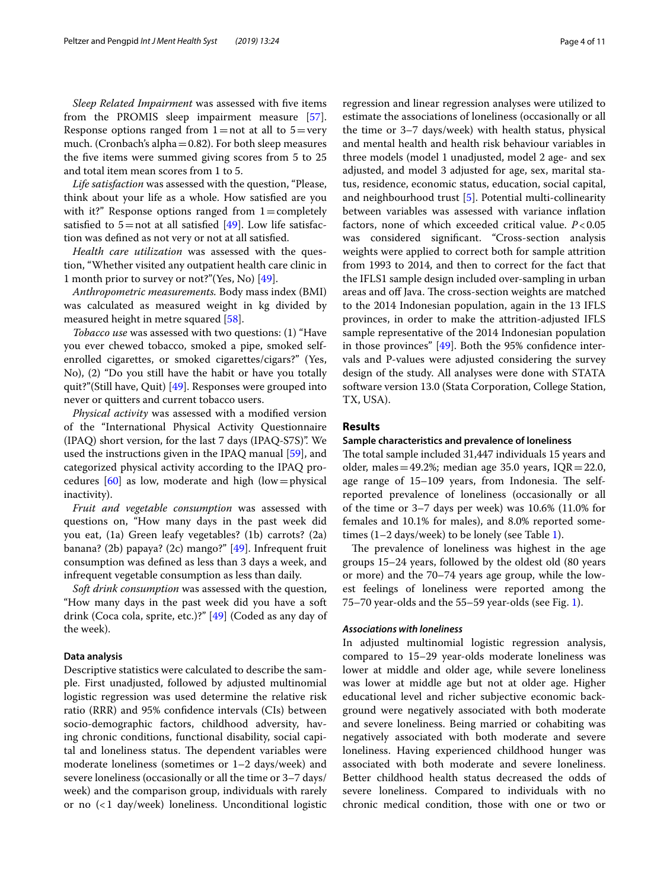*Sleep Related Impairment* was assessed with fve items from the PROMIS sleep impairment measure [\[57](#page-10-13)]. Response options ranged from  $1=$ not at all to  $5=$ very much. (Cronbach's alpha $=0.82$ ). For both sleep measures the fve items were summed giving scores from 5 to 25 and total item mean scores from 1 to 5.

*Life satisfaction* was assessed with the question, "Please, think about your life as a whole. How satisfed are you with it?" Response options ranged from  $1=$  completely satisfied to  $5=$  not at all satisfied [\[49](#page-10-5)]. Low life satisfaction was defned as not very or not at all satisfed.

*Health care utilization* was assessed with the question, "Whether visited any outpatient health care clinic in 1 month prior to survey or not?"(Yes, No) [\[49\]](#page-10-5).

*Anthropometric measurements.* Body mass index (BMI) was calculated as measured weight in kg divided by measured height in metre squared [[58\]](#page-10-14).

*Tobacco use* was assessed with two questions: (1) "Have you ever chewed tobacco, smoked a pipe, smoked selfenrolled cigarettes, or smoked cigarettes/cigars?" (Yes, No), (2) "Do you still have the habit or have you totally quit?"(Still have, Quit) [\[49](#page-10-5)]. Responses were grouped into never or quitters and current tobacco users.

*Physical activity* was assessed with a modifed version of the "International Physical Activity Questionnaire (IPAQ) short version, for the last 7 days (IPAQ-S7S)". We used the instructions given in the IPAQ manual [[59](#page-10-15)], and categorized physical activity according to the IPAQ procedures  $[60]$  $[60]$  as low, moderate and high (low=physical inactivity).

*Fruit and vegetable consumption* was assessed with questions on, "How many days in the past week did you eat, (1a) Green leafy vegetables? (1b) carrots? (2a) banana? (2b) papaya? (2c) mango?" [[49](#page-10-5)]. Infrequent fruit consumption was defned as less than 3 days a week, and infrequent vegetable consumption as less than daily.

*Soft drink consumption* was assessed with the question, "How many days in the past week did you have a soft drink (Coca cola, sprite, etc.)?" [\[49\]](#page-10-5) (Coded as any day of the week).

#### **Data analysis**

Descriptive statistics were calculated to describe the sample. First unadjusted, followed by adjusted multinomial logistic regression was used determine the relative risk ratio (RRR) and 95% confdence intervals (CIs) between socio-demographic factors, childhood adversity, having chronic conditions, functional disability, social capital and loneliness status. The dependent variables were moderate loneliness (sometimes or 1–2 days/week) and severe loneliness (occasionally or all the time or 3–7 days/ week) and the comparison group, individuals with rarely or no (<1 day/week) loneliness. Unconditional logistic regression and linear regression analyses were utilized to estimate the associations of loneliness (occasionally or all the time or 3–7 days/week) with health status, physical and mental health and health risk behaviour variables in three models (model 1 unadjusted, model 2 age- and sex adjusted, and model 3 adjusted for age, sex, marital status, residence, economic status, education, social capital, and neighbourhood trust [[5\]](#page-9-2). Potential multi-collinearity between variables was assessed with variance infation factors, none of which exceeded critical value. *P*<0.05 was considered signifcant. "Cross-section analysis weights were applied to correct both for sample attrition from 1993 to 2014, and then to correct for the fact that the IFLS1 sample design included over-sampling in urban areas and off Java. The cross-section weights are matched to the 2014 Indonesian population, again in the 13 IFLS provinces, in order to make the attrition-adjusted IFLS sample representative of the 2014 Indonesian population in those provinces" [[49\]](#page-10-5). Both the 95% confdence intervals and P-values were adjusted considering the survey design of the study. All analyses were done with STATA software version 13.0 (Stata Corporation, College Station, TX, USA).

#### **Results**

#### **Sample characteristics and prevalence of loneliness**

The total sample included 31,447 individuals 15 years and older, males  $=49.2\%$ ; median age 35.0 years, IQR  $=22.0$ , age range of 15–109 years, from Indonesia. The selfreported prevalence of loneliness (occasionally or all of the time or 3–7 days per week) was 10.6% (11.0% for females and 10.1% for males), and 8.0% reported sometimes (1–2 days/week) to be lonely (see Table [1\)](#page-4-0).

The prevalence of loneliness was highest in the age groups 15–24 years, followed by the oldest old (80 years or more) and the 70–74 years age group, while the lowest feelings of loneliness were reported among the 75–70 year-olds and the 55–59 year-olds (see Fig. [1](#page-5-0)).

#### *Associations with loneliness*

In adjusted multinomial logistic regression analysis, compared to 15–29 year-olds moderate loneliness was lower at middle and older age, while severe loneliness was lower at middle age but not at older age. Higher educational level and richer subjective economic background were negatively associated with both moderate and severe loneliness. Being married or cohabiting was negatively associated with both moderate and severe loneliness. Having experienced childhood hunger was associated with both moderate and severe loneliness. Better childhood health status decreased the odds of severe loneliness. Compared to individuals with no chronic medical condition, those with one or two or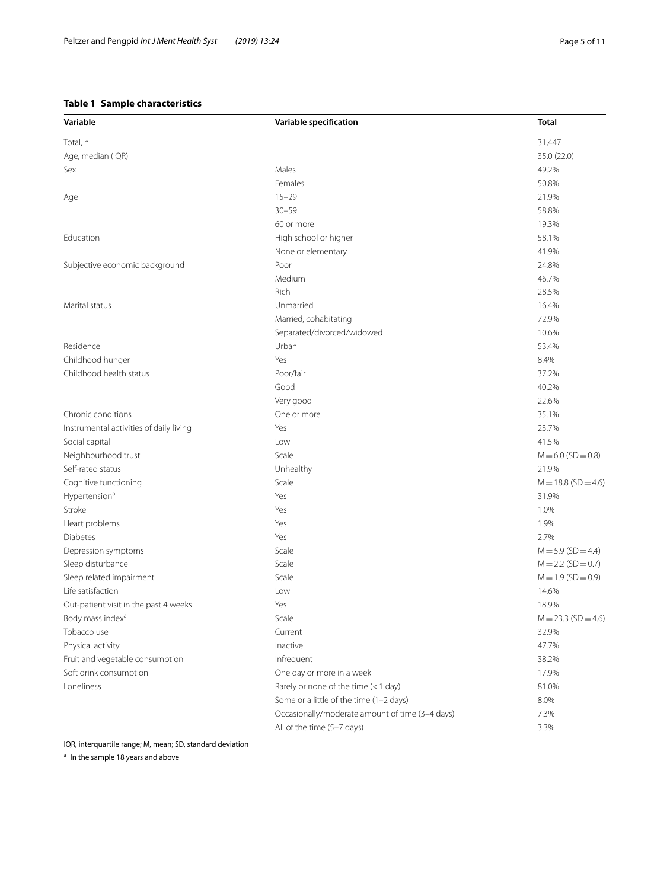## <span id="page-4-0"></span>**Table 1 Sample characteristics**

| Variable                                | Variable specification                          | Total                 |
|-----------------------------------------|-------------------------------------------------|-----------------------|
| Total, n                                |                                                 | 31,447                |
| Age, median (IQR)                       |                                                 | 35.0 (22.0)           |
| Sex                                     | Males                                           | 49.2%                 |
|                                         | Females                                         | 50.8%                 |
| Age                                     | $15 - 29$                                       | 21.9%                 |
|                                         | $30 - 59$                                       | 58.8%                 |
|                                         | 60 or more                                      | 19.3%                 |
| Education                               | High school or higher                           | 58.1%                 |
|                                         | None or elementary                              | 41.9%                 |
| Subjective economic background          | Poor                                            | 24.8%                 |
|                                         | Medium                                          | 46.7%                 |
|                                         | Rich                                            | 28.5%                 |
| Marital status                          | Unmarried                                       | 16.4%                 |
|                                         | Married, cohabitating                           | 72.9%                 |
|                                         | Separated/divorced/widowed                      | 10.6%                 |
| Residence                               | Urban                                           | 53.4%                 |
| Childhood hunger                        | Yes                                             | 8.4%                  |
| Childhood health status                 | Poor/fair                                       | 37.2%                 |
|                                         | Good                                            | 40.2%                 |
|                                         | Very good                                       | 22.6%                 |
| Chronic conditions                      | One or more                                     | 35.1%                 |
| Instrumental activities of daily living | Yes                                             | 23.7%                 |
| Social capital                          | Low                                             | 41.5%                 |
| Neighbourhood trust                     | Scale                                           | $M = 6.0$ (SD = 0.8)  |
| Self-rated status                       | Unhealthy                                       | 21.9%                 |
| Cognitive functioning                   | Scale                                           | $M = 18.8$ (SD = 4.6) |
| Hypertension <sup>a</sup>               | Yes                                             | 31.9%                 |
| Stroke                                  | Yes                                             | 1.0%                  |
| Heart problems                          | Yes                                             | 1.9%                  |
| Diabetes                                | Yes                                             | 2.7%                  |
| Depression symptoms                     | Scale                                           | $M = 5.9$ (SD = 4.4)  |
| Sleep disturbance                       | Scale                                           | $M = 2.2$ (SD = 0.7)  |
| Sleep related impairment                | Scale                                           | $M = 1.9$ (SD = 0.9)  |
| Life satisfaction                       | Low                                             | 14.6%                 |
| Out-patient visit in the past 4 weeks   | Yes                                             | 18.9%                 |
| Body mass index <sup>a</sup>            | Scale                                           | $M = 23.3$ (SD = 4.6) |
| Tobacco use                             | Current                                         | 32.9%                 |
| Physical activity                       | Inactive                                        | 47.7%                 |
| Fruit and vegetable consumption         | Infrequent                                      | 38.2%                 |
| Soft drink consumption                  | One day or more in a week                       | 17.9%                 |
| Loneliness                              | Rarely or none of the time (< 1 day)            | 81.0%                 |
|                                         | Some or a little of the time (1-2 days)         | 8.0%                  |
|                                         | Occasionally/moderate amount of time (3-4 days) | 7.3%                  |

All of the time (5–7 days) 3.3%

IQR, interquartile range; M, mean; SD, standard deviation

<sup>a</sup> In the sample 18 years and above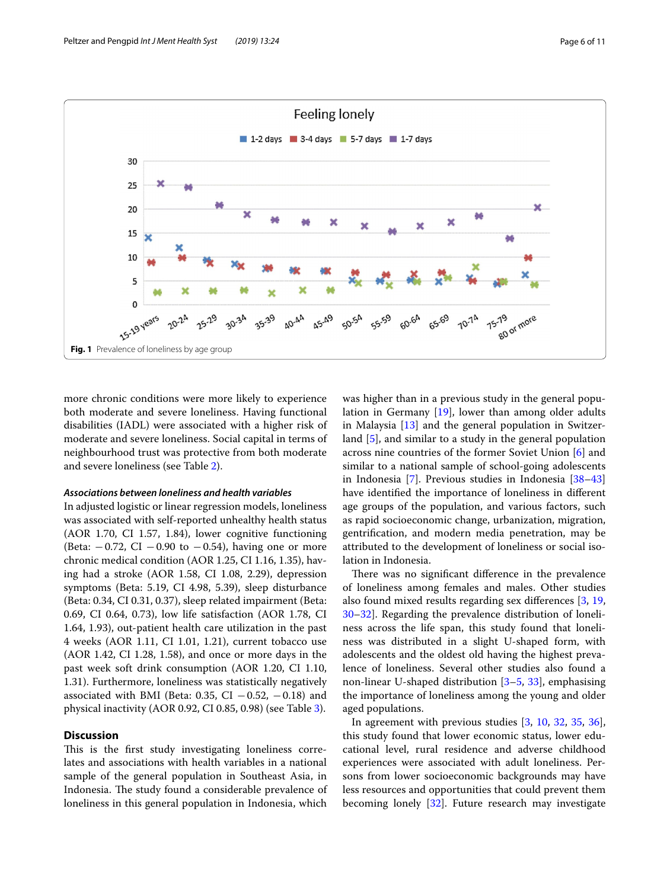

<span id="page-5-0"></span>more chronic conditions were more likely to experience both moderate and severe loneliness. Having functional disabilities (IADL) were associated with a higher risk of moderate and severe loneliness. Social capital in terms of neighbourhood trust was protective from both moderate and severe loneliness (see Table [2\)](#page-6-0).

#### *Associations between loneliness and health variables*

In adjusted logistic or linear regression models, loneliness was associated with self-reported unhealthy health status (AOR 1.70, CI 1.57, 1.84), lower cognitive functioning (Beta:  $-0.72$ , CI  $-0.90$  to  $-0.54$ ), having one or more chronic medical condition (AOR 1.25, CI 1.16, 1.35), having had a stroke (AOR 1.58, CI 1.08, 2.29), depression symptoms (Beta: 5.19, CI 4.98, 5.39), sleep disturbance (Beta: 0.34, CI 0.31, 0.37), sleep related impairment (Beta: 0.69, CI 0.64, 0.73), low life satisfaction (AOR 1.78, CI 1.64, 1.93), out-patient health care utilization in the past 4 weeks (AOR 1.11, CI 1.01, 1.21), current tobacco use (AOR 1.42, CI 1.28, 1.58), and once or more days in the past week soft drink consumption (AOR 1.20, CI 1.10, 1.31). Furthermore, loneliness was statistically negatively associated with BMI (Beta: 0.35, CI  $-0.52$ ,  $-0.18$ ) and physical inactivity (AOR 0.92, CI 0.85, 0.98) (see Table [3](#page-7-0)).

## **Discussion**

This is the first study investigating loneliness correlates and associations with health variables in a national sample of the general population in Southeast Asia, in Indonesia. The study found a considerable prevalence of loneliness in this general population in Indonesia, which was higher than in a previous study in the general population in Germany [\[19\]](#page-9-12), lower than among older adults in Malaysia  $[13]$  $[13]$  and the general population in Switzerland [[5\]](#page-9-2), and similar to a study in the general population across nine countries of the former Soviet Union [\[6](#page-9-3)] and similar to a national sample of school-going adolescents in Indonesia [\[7\]](#page-9-23). Previous studies in Indonesia [[38–](#page-9-33)[43](#page-10-0)] have identifed the importance of loneliness in diferent age groups of the population, and various factors, such as rapid socioeconomic change, urbanization, migration, gentrifcation, and modern media penetration, may be attributed to the development of loneliness or social isolation in Indonesia.

There was no significant difference in the prevalence of loneliness among females and males. Other studies also found mixed results regarding sex diferences [[3,](#page-9-26) [19](#page-9-12), [30](#page-9-24)[–32](#page-9-27)]. Regarding the prevalence distribution of loneliness across the life span, this study found that loneliness was distributed in a slight U-shaped form, with adolescents and the oldest old having the highest prevalence of loneliness. Several other studies also found a non-linear U-shaped distribution [\[3](#page-9-26)[–5](#page-9-2), [33](#page-9-28)], emphasising the importance of loneliness among the young and older aged populations.

In agreement with previous studies [[3,](#page-9-26) [10,](#page-9-4) [32](#page-9-27), [35,](#page-9-30) [36](#page-9-31)], this study found that lower economic status, lower educational level, rural residence and adverse childhood experiences were associated with adult loneliness. Persons from lower socioeconomic backgrounds may have less resources and opportunities that could prevent them becoming lonely [\[32](#page-9-27)]. Future research may investigate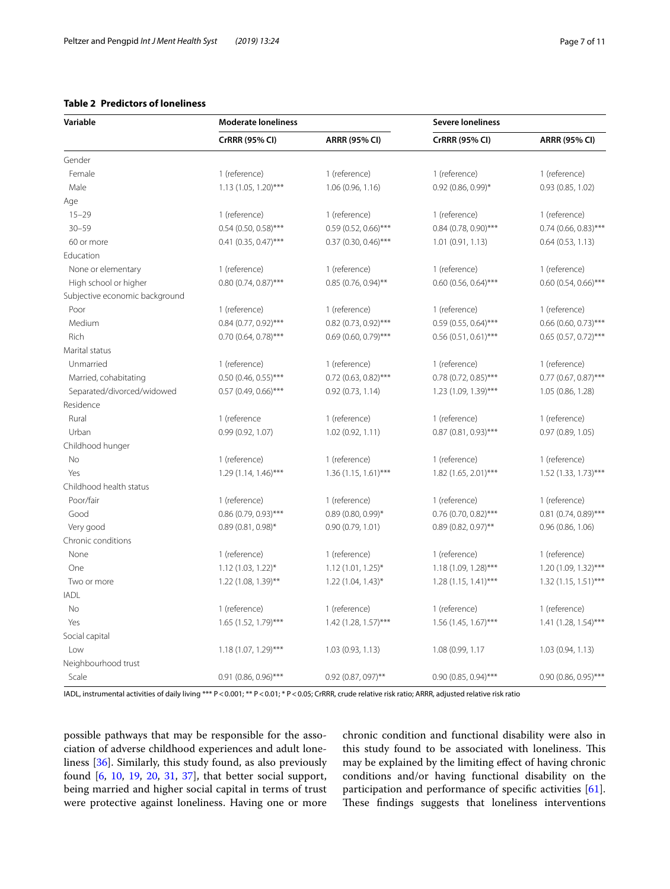#### <span id="page-6-0"></span>**Table 2 Predictors of loneliness**

| Variable                       | <b>Moderate loneliness</b> |                        | <b>Severe loneliness</b> |                        |
|--------------------------------|----------------------------|------------------------|--------------------------|------------------------|
|                                | <b>CrRRR (95% CI)</b>      | <b>ARRR (95% CI)</b>   | <b>CrRRR (95% CI)</b>    | <b>ARRR (95% CI)</b>   |
| Gender                         |                            |                        |                          |                        |
| Female                         | 1 (reference)              | 1 (reference)          | 1 (reference)            | 1 (reference)          |
| Male                           | $1.13(1.05, 1.20)$ ***     | 1.06 (0.96, 1.16)      | $0.92$ (0.86, 0.99)*     | 0.93(0.85, 1.02)       |
| Age                            |                            |                        |                          |                        |
| $15 - 29$                      | 1 (reference)              | 1 (reference)          | 1 (reference)            | 1 (reference)          |
| $30 - 59$                      | $0.54$ (0.50, 0.58)***     | $0.59(0.52, 0.66)$ *** | $0.84$ (0.78, 0.90)***   | $0.74$ (0.66, 0.83)*** |
| 60 or more                     | $0.41$ (0.35, 0.47)***     | $0.37$ (0.30, 0.46)*** | 1.01 (0.91, 1.13)        | 0.64(0.53, 1.13)       |
| Education                      |                            |                        |                          |                        |
| None or elementary             | 1 (reference)              | 1 (reference)          | 1 (reference)            | 1 (reference)          |
| High school or higher          | $0.80(0.74, 0.87)$ ***     | $0.85(0.76, 0.94)$ **  | $0.60$ (0.56, 0.64)***   | $0.60(0.54, 0.66)$ *** |
| Subjective economic background |                            |                        |                          |                        |
| Poor                           | 1 (reference)              | 1 (reference)          | 1 (reference)            | 1 (reference)          |
| Medium                         | $0.84$ (0.77, 0.92)***     | 0.82 (0.73, 0.92)***   | $0.59$ (0.55, 0.64)***   | 0.66 (0.60, 0.73)***   |
| Rich                           | $0.70$ (0.64, 0.78)***     | $0.69$ (0.60, 0.79)*** | $0.56$ (0.51, 0.61)***   | $0.65$ (0.57, 0.72)*** |
| Marital status                 |                            |                        |                          |                        |
| Unmarried                      | 1 (reference)              | 1 (reference)          | 1 (reference)            | 1 (reference)          |
| Married, cohabitating          | $0.50$ (0.46, 0.55)***     | $0.72$ (0.63, 0.82)*** | 0.78 (0.72, 0.85)***     | $0.77$ (0.67, 0.87)*** |
| Separated/divorced/widowed     | 0.57 (0.49, 0.66)***       | 0.92(0.73, 1.14)       | 1.23 (1.09, 1.39)***     | 1.05 (0.86, 1.28)      |
| Residence                      |                            |                        |                          |                        |
| Rural                          | 1 (reference               | 1 (reference)          | 1 (reference)            | 1 (reference)          |
| Urban                          | 0.99(0.92, 1.07)           | 1.02(0.92, 1.11)       | $0.87$ (0.81, 0.93)***   | 0.97(0.89, 1.05)       |
| Childhood hunger               |                            |                        |                          |                        |
| No                             | 1 (reference)              | 1 (reference)          | 1 (reference)            | 1 (reference)          |
| Yes                            | $1.29(1.14, 1.46)$ ***     | $1.36(1.15, 1.61)$ *** | $1.82$ (1.65, 2.01)***   | 1.52 (1.33, 1.73)***   |
| Childhood health status        |                            |                        |                          |                        |
| Poor/fair                      | 1 (reference)              | 1 (reference)          | 1 (reference)            | 1 (reference)          |
| Good                           | $0.86$ (0.79, 0.93)***     | $0.89(0.80, 0.99)$ *   | $0.76$ (0.70, 0.82)***   | $0.81(0.74, 0.89)$ *** |
| Very good                      | $0.89(0.81, 0.98)^*$       | 0.90(0.79, 1.01)       | $0.89(0.82, 0.97)$ **    | 0.96(0.86, 1.06)       |
| Chronic conditions             |                            |                        |                          |                        |
| None                           | 1 (reference)              | 1 (reference)          | 1 (reference)            | 1 (reference)          |
| One                            | 1.12 (1.03, 1.22)*         | 1.12 (1.01, 1.25)*     | 1.18 (1.09, 1.28)***     | 1.20 (1.09, 1.32)***   |
| Two or more                    | 1.22 (1.08, 1.39)**        | $1.22$ (1.04, 1.43)*   | $1.28(1.15, 1.41)$ ***   | $1.32(1.15, 1.51)$ *** |
| <b>IADL</b>                    |                            |                        |                          |                        |
| <b>No</b>                      | 1 (reference)              | 1 (reference)          | 1 (reference)            | 1 (reference)          |
| Yes                            | 1.65 (1.52, 1.79)***       | 1.42 (1.28, 1.57)***   | 1.56 (1.45, 1.67)***     | 1.41 (1.28, 1.54)***   |
| Social capital                 |                            |                        |                          |                        |
| Low                            | $1.18(1.07, 1.29)$ ***     | 1.03 (0.93, 1.13)      | 1.08 (0.99, 1.17         | 1.03 (0.94, 1.13)      |
| Neighbourhood trust            |                            |                        |                          |                        |
| Scale                          | $0.91$ (0.86, 0.96)***     | $0.92$ (0.87, 097)**   | $0.90(0.85, 0.94)$ ***   | $0.90(0.86, 0.95)$ *** |

IADL, instrumental activities of daily living \*\*\* P < 0.001; \*\* P < 0.01; \* P < 0.05; CrRRR, crude relative risk ratio; ARRR, adjusted relative risk ratio

possible pathways that may be responsible for the association of adverse childhood experiences and adult loneliness [[36\]](#page-9-31). Similarly, this study found, as also previously found [[6,](#page-9-3) [10](#page-9-4), [19](#page-9-12), [20](#page-9-13), [31,](#page-9-25) [37\]](#page-9-32), that better social support, being married and higher social capital in terms of trust were protective against loneliness. Having one or more chronic condition and functional disability were also in this study found to be associated with loneliness. This may be explained by the limiting efect of having chronic conditions and/or having functional disability on the participation and performance of specifc activities [\[61](#page-10-17)]. These findings suggests that loneliness interventions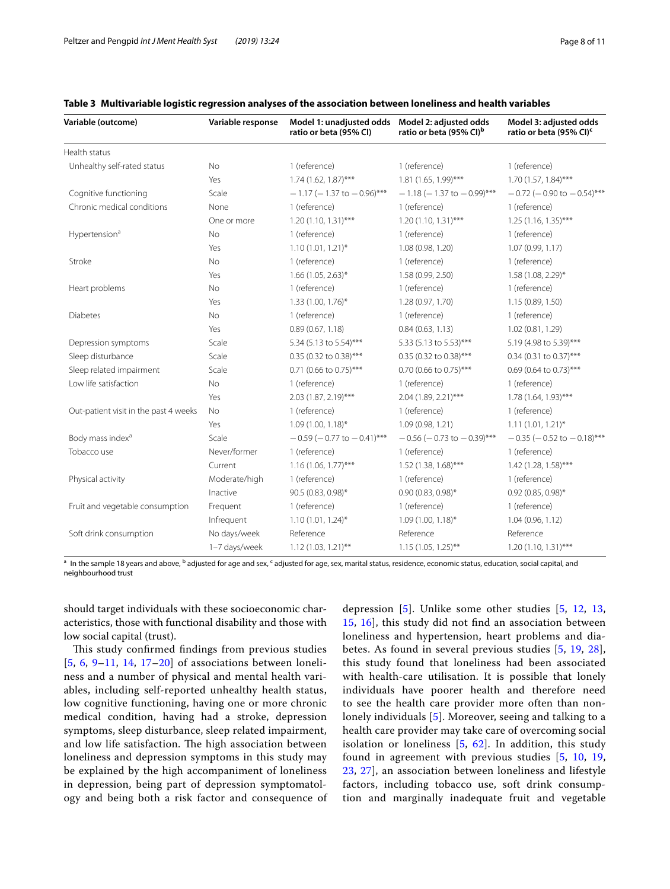| Variable (outcome)                    | Variable response | Model 1: unadjusted odds<br>ratio or beta (95% CI) | Model 2: adjusted odds<br>ratio or beta (95% CI) <sup>b</sup> | Model 3: adjusted odds<br>ratio or beta (95% CI) <sup>c</sup> |
|---------------------------------------|-------------------|----------------------------------------------------|---------------------------------------------------------------|---------------------------------------------------------------|
| Health status                         |                   |                                                    |                                                               |                                                               |
| Unhealthy self-rated status           | <b>No</b>         | 1 (reference)                                      | 1 (reference)                                                 | 1 (reference)                                                 |
|                                       | Yes               | $1.74(1.62, 1.87)$ ***                             | $1.81(1.65, 1.99)$ ***                                        | $1.70(1.57, 1.84)$ ***                                        |
| Cognitive functioning                 | Scale             | $-1.17$ (-1.37 to $-0.96$ )***                     | $-1.18$ (-1.37 to $-0.99$ )***                                | $-0.72$ ( $-0.90$ to $-0.54$ )***                             |
| Chronic medical conditions            | None              | 1 (reference)                                      | 1 (reference)                                                 | 1 (reference)                                                 |
|                                       | One or more       | $1.20(1.10, 1.31)$ ***                             | $1.20(1.10, 1.31)$ ***                                        | $1.25(1.16, 1.35)$ ***                                        |
| Hypertension <sup>a</sup>             | No                | 1 (reference)                                      | 1 (reference)                                                 | 1 (reference)                                                 |
|                                       | Yes               | $1.10(1.01, 1.21)^{*}$                             | 1.08 (0.98, 1.20)                                             | 1.07 (0.99, 1.17)                                             |
| Stroke                                | No                | 1 (reference)                                      | 1 (reference)                                                 | 1 (reference)                                                 |
|                                       | Yes               | $1.66$ (1.05, 2.63)*                               | 1.58 (0.99, 2.50)                                             | 1.58 (1.08, 2.29)*                                            |
| Heart problems                        | No                | 1 (reference)                                      | 1 (reference)                                                 | 1 (reference)                                                 |
|                                       | Yes               | 1.33 (1.00, 1.76)*                                 | 1.28 (0.97, 1.70)                                             | 1.15 (0.89, 1.50)                                             |
| <b>Diabetes</b>                       | No                | 1 (reference)                                      | 1 (reference)                                                 | 1 (reference)                                                 |
|                                       | Yes               | 0.89(0.67, 1.18)                                   | 0.84(0.63, 1.13)                                              | 1.02(0.81, 1.29)                                              |
| Depression symptoms                   | Scale             | 5.34 (5.13 to 5.54)***                             | 5.33 (5.13 to 5.53)***                                        | 5.19 (4.98 to 5.39)***                                        |
| Sleep disturbance                     | Scale             | 0.35 (0.32 to 0.38)***                             | 0.35 (0.32 to 0.38)***                                        | 0.34 (0.31 to 0.37)***                                        |
| Sleep related impairment              | Scale             | 0.71 (0.66 to 0.75)***                             | 0.70 (0.66 to 0.75)***                                        | 0.69 (0.64 to 0.73)***                                        |
| Low life satisfaction                 | No                | 1 (reference)                                      | 1 (reference)                                                 | 1 (reference)                                                 |
|                                       | Yes               | 2.03 (1.87, 2.19)***                               | 2.04 (1.89, 2.21)***                                          | $1.78(1.64, 1.93)$ ***                                        |
| Out-patient visit in the past 4 weeks | No                | 1 (reference)                                      | 1 (reference)                                                 | 1 (reference)                                                 |
|                                       | Yes               | $1.09(1.00, 1.18)^*$                               | 1.09 (0.98, 1.21)                                             | $1.11(1.01, 1.21)^*$                                          |
| Body mass index <sup>a</sup>          | Scale             | $-0.59$ ( $-0.77$ to $-0.41$ )***                  | $-0.56$ ( $-0.73$ to $-0.39$ <sup>***</sup>                   | $-0.35$ ( $-0.52$ to $-0.18$ )***                             |
| Tobacco use                           | Never/former      | 1 (reference)                                      | 1 (reference)                                                 | 1 (reference)                                                 |
|                                       | Current           | $1.16(1.06, 1.77)$ ***                             | 1.52 (1.38, 1.68)***                                          | 1.42 (1.28, 1.58)***                                          |
| Physical activity                     | Moderate/high     | 1 (reference)                                      | 1 (reference)                                                 | 1 (reference)                                                 |
|                                       | Inactive          | 90.5 (0.83, 0.98)*                                 | $0.90(0.83, 0.98)$ *                                          | $0.92$ (0.85, 0.98)*                                          |
| Fruit and vegetable consumption       | Frequent          | 1 (reference)                                      | 1 (reference)                                                 | 1 (reference)                                                 |
|                                       | Infrequent        | $1.10(1.01, 1.24)^{*}$                             | $1.09(1.00, 1.18)^*$                                          | 1.04(0.96, 1.12)                                              |
| Soft drink consumption                | No days/week      | Reference                                          | Reference                                                     | Reference                                                     |
|                                       | 1-7 days/week     | $1.12(1.03, 1.21)$ **                              | $1.15(1.05, 1.25)$ **                                         | $1.20(1.10, 1.31)$ ***                                        |

### <span id="page-7-0"></span>**Table 3 Multivariable logistic regression analyses of the association between loneliness and health variables**

<sup>a</sup> In the sample 18 years and above, <sup>b</sup> adjusted for age and sex, <sup>c</sup> adjusted for age, sex, marital status, residence, economic status, education, social capital, and neighbourhood trust

should target individuals with these socioeconomic characteristics, those with functional disability and those with low social capital (trust).

This study confirmed findings from previous studies [[5](#page-9-2), [6](#page-9-3), [9–](#page-9-1)[11](#page-9-5), [14](#page-9-8), [17](#page-9-10)[–20](#page-9-13)] of associations between loneliness and a number of physical and mental health variables, including self-reported unhealthy health status, low cognitive functioning, having one or more chronic medical condition, having had a stroke, depression symptoms, sleep disturbance, sleep related impairment, and low life satisfaction. The high association between loneliness and depression symptoms in this study may be explained by the high accompaniment of loneliness in depression, being part of depression symptomatology and being both a risk factor and consequence of

depression  $[5]$  $[5]$  $[5]$ . Unlike some other studies  $[5, 12, 13, 13]$  $[5, 12, 13, 13]$  $[5, 12, 13, 13]$  $[5, 12, 13, 13]$  $[5, 12, 13, 13]$  $[5, 12, 13, 13]$ [15,](#page-9-39) [16\]](#page-9-9), this study did not fnd an association between loneliness and hypertension, heart problems and diabetes. As found in several previous studies [[5](#page-9-2), [19](#page-9-12), [28](#page-9-21)], this study found that loneliness had been associated with health-care utilisation. It is possible that lonely individuals have poorer health and therefore need to see the health care provider more often than nonlonely individuals [[5\]](#page-9-2). Moreover, seeing and talking to a health care provider may take care of overcoming social isolation or loneliness [\[5,](#page-9-2) [62](#page-10-18)]. In addition, this study found in agreement with previous studies [\[5](#page-9-2), [10](#page-9-4), [19](#page-9-12), [23,](#page-9-16) [27\]](#page-9-20), an association between loneliness and lifestyle factors, including tobacco use, soft drink consumption and marginally inadequate fruit and vegetable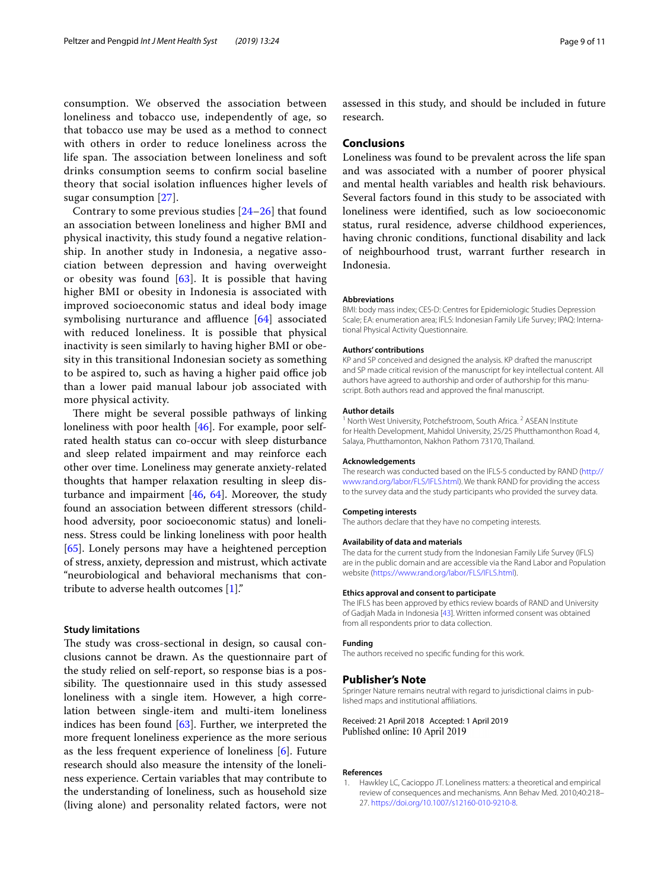consumption. We observed the association between loneliness and tobacco use, independently of age, so that tobacco use may be used as a method to connect with others in order to reduce loneliness across the life span. The association between loneliness and soft drinks consumption seems to confrm social baseline theory that social isolation infuences higher levels of sugar consumption [\[27](#page-9-20)].

Contrary to some previous studies [[24–](#page-9-17)[26](#page-9-19)] that found an association between loneliness and higher BMI and physical inactivity, this study found a negative relationship. In another study in Indonesia, a negative association between depression and having overweight or obesity was found  $[63]$  $[63]$ . It is possible that having higher BMI or obesity in Indonesia is associated with improved socioeconomic status and ideal body image symbolising nurturance and affluence  $[64]$  $[64]$  $[64]$  associated with reduced loneliness. It is possible that physical inactivity is seen similarly to having higher BMI or obesity in this transitional Indonesian society as something to be aspired to, such as having a higher paid office job than a lower paid manual labour job associated with more physical activity.

There might be several possible pathways of linking loneliness with poor health [[46\]](#page-10-2). For example, poor selfrated health status can co-occur with sleep disturbance and sleep related impairment and may reinforce each other over time. Loneliness may generate anxiety-related thoughts that hamper relaxation resulting in sleep disturbance and impairment  $[46, 64]$  $[46, 64]$  $[46, 64]$  $[46, 64]$ . Moreover, the study found an association between diferent stressors (childhood adversity, poor socioeconomic status) and loneliness. Stress could be linking loneliness with poor health [[65\]](#page-10-21). Lonely persons may have a heightened perception of stress, anxiety, depression and mistrust, which activate "neurobiological and behavioral mechanisms that contribute to adverse health outcomes [[1\]](#page-8-0)."

#### **Study limitations**

The study was cross-sectional in design, so causal conclusions cannot be drawn. As the questionnaire part of the study relied on self-report, so response bias is a possibility. The questionnaire used in this study assessed loneliness with a single item. However, a high correlation between single-item and multi-item loneliness indices has been found [\[63](#page-10-19)]. Further, we interpreted the more frequent loneliness experience as the more serious as the less frequent experience of loneliness [[6\]](#page-9-3). Future research should also measure the intensity of the loneliness experience. Certain variables that may contribute to the understanding of loneliness, such as household size (living alone) and personality related factors, were not

assessed in this study, and should be included in future research.

#### **Conclusions**

Loneliness was found to be prevalent across the life span and was associated with a number of poorer physical and mental health variables and health risk behaviours. Several factors found in this study to be associated with loneliness were identifed, such as low socioeconomic status, rural residence, adverse childhood experiences, having chronic conditions, functional disability and lack of neighbourhood trust, warrant further research in Indonesia.

#### **Abbreviations**

BMI: body mass index; CES-D: Centres for Epidemiologic Studies Depression Scale; EA: enumeration area; IFLS: Indonesian Family Life Survey; IPAQ: International Physical Activity Questionnaire.

#### **Authors' contributions**

KP and SP conceived and designed the analysis. KP drafted the manuscript and SP made critical revision of the manuscript for key intellectual content. All authors have agreed to authorship and order of authorship for this manuscript. Both authors read and approved the fnal manuscript.

#### **Author details**

<sup>1</sup> North West University, Potchefstroom, South Africa.<sup>2</sup> ASEAN Institute for Health Development, Mahidol University, 25/25 Phutthamonthon Road 4, Salaya, Phutthamonton, Nakhon Pathom 73170, Thailand.

#### **Acknowledgements**

The research was conducted based on the IFLS-5 conducted by RAND [\(http://](http://www.rand.org/labor/FLS/IFLS.html) [www.rand.org/labor/FLS/IFLS.html](http://www.rand.org/labor/FLS/IFLS.html)). We thank RAND for providing the access to the survey data and the study participants who provided the survey data.

#### **Competing interests**

The authors declare that they have no competing interests.

#### **Availability of data and materials**

The data for the current study from the Indonesian Family Life Survey (IFLS) are in the public domain and are accessible via the Rand Labor and Population website (<https://www.rand.org/labor/FLS/IFLS.html>).

#### **Ethics approval and consent to participate**

The IFLS has been approved by ethics review boards of RAND and University of Gadjah Mada in Indonesia [[43](#page-10-0)]. Written informed consent was obtained from all respondents prior to data collection.

#### **Funding**

The authors received no specifc funding for this work.

#### **Publisher's Note**

Springer Nature remains neutral with regard to jurisdictional claims in published maps and institutional afliations.

#### Received: 21 April 2018 Accepted: 1 April 2019 Published online: 10 April 2019

#### **References**

<span id="page-8-0"></span>1. Hawkley LC, Cacioppo JT. Loneliness matters: a theoretical and empirical review of consequences and mechanisms. Ann Behav Med. 2010;40:218– 27. [https://doi.org/10.1007/s12160-010-9210-8.](https://doi.org/10.1007/s12160-010-9210-8)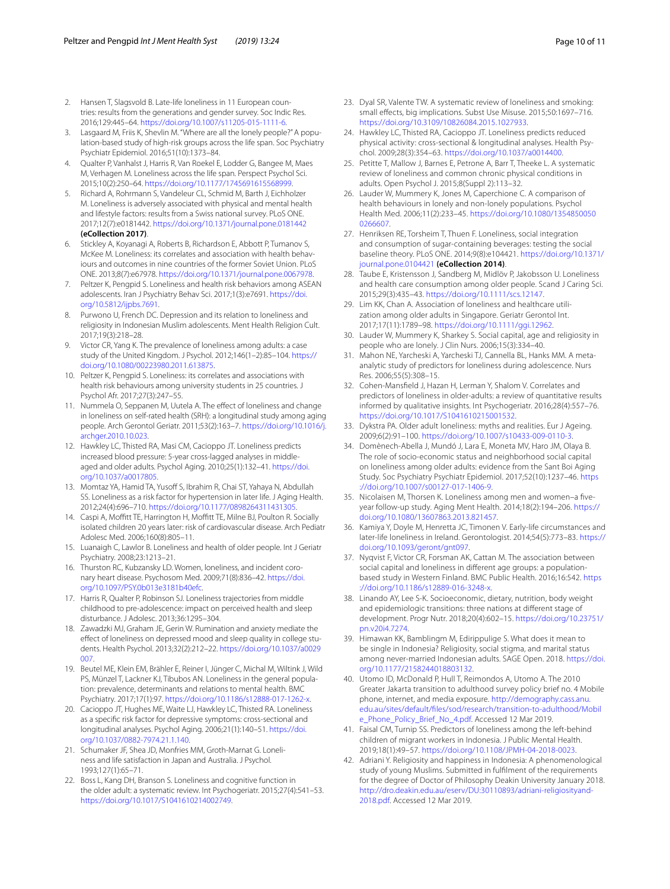- <span id="page-9-0"></span>2. Hansen T, Slagsvold B. Late-life loneliness in 11 European countries: results from the generations and gender survey. Soc Indic Res. 2016;129:445–64. [https://doi.org/10.1007/s11205-015-1111-6.](https://doi.org/10.1007/s11205-015-1111-6)
- <span id="page-9-26"></span>3. Lasgaard M, Friis K, Shevlin M. "Where are all the lonely people?" A population-based study of high-risk groups across the life span. Soc Psychiatry Psychiatr Epidemiol. 2016;51(10):1373–84.
- 4. Qualter P, Vanhalst J, Harris R, Van Roekel E, Lodder G, Bangee M, Maes M, Verhagen M. Loneliness across the life span. Perspect Psychol Sci. 2015;10(2):250–64. <https://doi.org/10.1177/1745691615568999>.
- <span id="page-9-2"></span>5. Richard A, Rohrmann S, Vandeleur CL, Schmid M, Barth J, Eichholzer M. Loneliness is adversely associated with physical and mental health and lifestyle factors: results from a Swiss national survey. PLoS ONE. 2017;12(7):e0181442.<https://doi.org/10.1371/journal.pone.0181442> **(eCollection 2017)**.
- <span id="page-9-3"></span>6. Stickley A, Koyanagi A, Roberts B, Richardson E, Abbott P, Tumanov S, McKee M. Loneliness: its correlates and association with health behaviours and outcomes in nine countries of the former Soviet Union. PLoS ONE. 2013;8(7):e67978. [https://doi.org/10.1371/journal.pone.0067978.](https://doi.org/10.1371/journal.pone.0067978)
- <span id="page-9-23"></span>7. Peltzer K, Pengpid S. Loneliness and health risk behaviors among ASEAN adolescents. Iran J Psychiatry Behav Sci. 2017;1(3):e7691. [https://doi.](https://doi.org/10.5812/ijpbs.7691) [org/10.5812/ijpbs.7691.](https://doi.org/10.5812/ijpbs.7691)
- <span id="page-9-38"></span>8. Purwono U, French DC. Depression and its relation to loneliness and religiosity in Indonesian Muslim adolescents. Ment Health Religion Cult. 2017;19(3):218–28.
- <span id="page-9-1"></span>9. Victor CR, Yang K. The prevalence of loneliness among adults: a case study of the United Kingdom. J Psychol. 2012;146(1–2):85–104. [https://](https://doi.org/10.1080/00223980.2011.613875) [doi.org/10.1080/00223980.2011.613875.](https://doi.org/10.1080/00223980.2011.613875)
- <span id="page-9-4"></span>10. Peltzer K, Pengpid S. Loneliness: its correlates and associations with health risk behaviours among university students in 25 countries. J Psychol Afr. 2017;27(3):247–55.
- <span id="page-9-5"></span>11. Nummela O, Seppanen M, Uutela A. The efect of loneliness and change in loneliness on self-rated health (SRH): a longitudinal study among aging people. Arch Gerontol Geriatr. 2011;53(2):163–7. [https://doi.org/10.1016/j.](https://doi.org/10.1016/j.archger.2010.10.023) [archger.2010.10.023](https://doi.org/10.1016/j.archger.2010.10.023).
- <span id="page-9-6"></span>12. Hawkley LC, Thisted RA, Masi CM, Cacioppo JT. Loneliness predicts increased blood pressure: 5-year cross-lagged analyses in middleaged and older adults. Psychol Aging. 2010;25(1):132–41. [https://doi.](https://doi.org/10.1037/a0017805) [org/10.1037/a0017805](https://doi.org/10.1037/a0017805).
- <span id="page-9-7"></span>13. Momtaz YA, Hamid TA, Yusoff S, Ibrahim R, Chai ST, Yahaya N, Abdullah SS. Loneliness as a risk factor for hypertension in later life. J Aging Health. 2012;24(4):696–710. [https://doi.org/10.1177/0898264311431305.](https://doi.org/10.1177/0898264311431305)
- <span id="page-9-8"></span>14. Caspi A, Moffitt TE, Harrington H, Moffitt TE, Milne BJ, Poulton R. Socially isolated children 20 years later: risk of cardiovascular disease. Arch Pediatr Adolesc Med. 2006;160(8):805–11.
- <span id="page-9-39"></span>15. Luanaigh C, Lawlor B. Loneliness and health of older people. Int J Geriatr Psychiatry. 2008;23:1213–21.
- <span id="page-9-9"></span>16. Thurston RC, Kubzansky LD. Women, loneliness, and incident coronary heart disease. Psychosom Med. 2009;71(8):836–42. [https://doi.](https://doi.org/10.1097/PSY.0b013e3181b40efc) [org/10.1097/PSY.0b013e3181b40efc](https://doi.org/10.1097/PSY.0b013e3181b40efc).
- <span id="page-9-10"></span>17. Harris R, Qualter P, Robinson SJ. Loneliness trajectories from middle childhood to pre-adolescence: impact on perceived health and sleep disturbance. J Adolesc. 2013;36:1295–304.
- <span id="page-9-11"></span>18. Zawadzki MJ, Graham JE, Gerin W. Rumination and anxiety mediate the efect of loneliness on depressed mood and sleep quality in college students. Health Psychol. 2013;32(2):212–22. [https://doi.org/10.1037/a0029](https://doi.org/10.1037/a0029007) [007.](https://doi.org/10.1037/a0029007)
- <span id="page-9-12"></span>19. Beutel ME, Klein EM, Brähler E, Reiner I, Jünger C, Michal M, Wiltink J, Wild PS, Münzel T, Lackner KJ, Tibubos AN. Loneliness in the general population: prevalence, determinants and relations to mental health. BMC Psychiatry. 2017;17(1):97. <https://doi.org/10.1186/s12888-017-1262-x>.
- <span id="page-9-13"></span>20. Cacioppo JT, Hughes ME, Waite LJ, Hawkley LC, Thisted RA. Loneliness as a specifc risk factor for depressive symptoms: cross-sectional and longitudinal analyses. Psychol Aging. 2006;21(1):140–51. [https://doi.](https://doi.org/10.1037/0882-7974.21.1.140) [org/10.1037/0882-7974.21.1.140.](https://doi.org/10.1037/0882-7974.21.1.140)
- <span id="page-9-14"></span>21. Schumaker JF, Shea JD, Monfries MM, Groth-Marnat G. Loneliness and life satisfaction in Japan and Australia. J Psychol. 1993;127(1):65–71.
- <span id="page-9-15"></span>22. Boss L, Kang DH, Branson S, Loneliness and cognitive function in the older adult: a systematic review. Int Psychogeriatr. 2015;27(4):541–53. [https://doi.org/10.1017/S1041610214002749.](https://doi.org/10.1017/S1041610214002749)
- <span id="page-9-16"></span>23. Dyal SR, Valente TW. A systematic review of loneliness and smoking: small efects, big implications. Subst Use Misuse. 2015;50:1697–716. <https://doi.org/10.3109/10826084.2015.1027933>.
- <span id="page-9-17"></span>24. Hawkley LC, Thisted RA, Cacioppo JT. Loneliness predicts reduced physical activity: cross-sectional & longitudinal analyses. Health Psychol. 2009;28(3):354–63. [https://doi.org/10.1037/a0014400.](https://doi.org/10.1037/a0014400)
- <span id="page-9-18"></span>25. Petitte T, Mallow J, Barnes E, Petrone A, Barr T, Theeke L. A systematic review of loneliness and common chronic physical conditions in adults. Open Psychol J. 2015;8(Suppl 2):113–32.
- <span id="page-9-19"></span>26. Lauder W, Mummery K, Jones M, Caperchione C. A comparison of health behaviours in lonely and non-lonely populations. Psychol Health Med. 2006;11(2):233–45. [https://doi.org/10.1080/1354850050](https://doi.org/10.1080/13548500500266607) [0266607](https://doi.org/10.1080/13548500500266607).
- <span id="page-9-20"></span>27. Henriksen RE, Torsheim T, Thuen F. Loneliness, social integration and consumption of sugar-containing beverages: testing the social baseline theory. PLoS ONE. 2014;9(8):e104421. [https://doi.org/10.1371/](https://doi.org/10.1371/journal.pone.0104421) [journal.pone.0104421](https://doi.org/10.1371/journal.pone.0104421) **(eCollection 2014)**.
- <span id="page-9-21"></span>28. Taube E, Kristensson J, Sandberg M, Midlöv P, Jakobsson U. Loneliness and health care consumption among older people. Scand J Caring Sci. 2015;29(3):435–43. [https://doi.org/10.1111/scs.12147.](https://doi.org/10.1111/scs.12147)
- <span id="page-9-22"></span>29. Lim KK, Chan A. Association of loneliness and healthcare utilization among older adults in Singapore. Geriatr Gerontol Int. 2017;17(11):1789–98.<https://doi.org/10.1111/ggi.12962>.
- <span id="page-9-24"></span>30. Lauder W, Mummery K, Sharkey S. Social capital, age and religiosity in people who are lonely. J Clin Nurs. 2006;15(3):334–40.
- <span id="page-9-25"></span>31. Mahon NE, Yarcheski A, Yarcheski TJ, Cannella BL, Hanks MM. A metaanalytic study of predictors for loneliness during adolescence. Nurs Res. 2006;55(5):308–15.
- <span id="page-9-27"></span>32. Cohen-Mansfeld J, Hazan H, Lerman Y, Shalom V. Correlates and predictors of loneliness in older-adults: a review of quantitative results informed by qualitative insights. Int Psychogeriatr. 2016;28(4):557–76. [https://doi.org/10.1017/S1041610215001532.](https://doi.org/10.1017/S1041610215001532)
- <span id="page-9-28"></span>33. Dykstra PA. Older adult loneliness: myths and realities. Eur J Ageing. 2009;6(2):91–100.<https://doi.org/10.1007/s10433-009-0110-3>.
- <span id="page-9-29"></span>34. Domènech-Abella J, Mundó J, Lara E, Moneta MV, Haro JM, Olaya B. The role of socio-economic status and neighborhood social capital on loneliness among older adults: evidence from the Sant Boi Aging Study. Soc Psychiatry Psychiatr Epidemiol. 2017;52(10):1237–46. [https](https://doi.org/10.1007/s00127-017-1406-9) [://doi.org/10.1007/s00127-017-1406-9.](https://doi.org/10.1007/s00127-017-1406-9)
- <span id="page-9-30"></span>35. Nicolaisen M, Thorsen K. Loneliness among men and women–a fveyear follow-up study. Aging Ment Health. 2014;18(2):194–206. [https://](https://doi.org/10.1080/13607863.2013.821457) [doi.org/10.1080/13607863.2013.821457.](https://doi.org/10.1080/13607863.2013.821457)
- <span id="page-9-31"></span>36. Kamiya Y, Doyle M, Henretta JC, Timonen V. Early-life circumstances and later-life loneliness in Ireland. Gerontologist. 2014;54(5):773–83. [https://](https://doi.org/10.1093/geront/gnt097) [doi.org/10.1093/geront/gnt097.](https://doi.org/10.1093/geront/gnt097)
- <span id="page-9-32"></span>37. Nyqvist F, Victor CR, Forsman AK, Cattan M. The association between social capital and loneliness in diferent age groups: a populationbased study in Western Finland. BMC Public Health. 2016;16:542. [https](https://doi.org/10.1186/s12889-016-3248-x) [://doi.org/10.1186/s12889-016-3248-x](https://doi.org/10.1186/s12889-016-3248-x).
- <span id="page-9-33"></span>38. Linando AY, Lee S-K. Socioeconomic, dietary, nutrition, body weight and epidemiologic transitions: three nations at diferent stage of development. Progr Nutr. 2018;20(4):602–15. [https://doi.org/10.23751/](https://doi.org/10.23751/pn.v20i4.7274) [pn.v20i4.7274](https://doi.org/10.23751/pn.v20i4.7274).
- <span id="page-9-34"></span>39. Himawan KK, Bamblingm M, Edirippulige S. What does it mean to be single in Indonesia? Religiosity, social stigma, and marital status among never-married Indonesian adults. SAGE Open. 2018. [https://doi.](https://doi.org/10.1177/2158244018803132) [org/10.1177/2158244018803132.](https://doi.org/10.1177/2158244018803132)
- <span id="page-9-35"></span>40. Utomo ID, McDonald P, Hull T, Reimondos A, Utomo A. The 2010 Greater Jakarta transition to adulthood survey policy brief no. 4 Mobile phone, internet, and media exposure. [http://demography.cass.anu.](http://demography.cass.anu.edu.au/sites/default/files/sod/research/transition-to-adulthood/Mobile_Phone_Policy_Brief_No_4.pdf) [edu.au/sites/default/fles/sod/research/transition-to-adulthood/Mobil](http://demography.cass.anu.edu.au/sites/default/files/sod/research/transition-to-adulthood/Mobile_Phone_Policy_Brief_No_4.pdf) [e\\_Phone\\_Policy\\_Brief\\_No\\_4.pdf.](http://demography.cass.anu.edu.au/sites/default/files/sod/research/transition-to-adulthood/Mobile_Phone_Policy_Brief_No_4.pdf) Accessed 12 Mar 2019.
- <span id="page-9-36"></span>41. Faisal CM, Turnip SS. Predictors of loneliness among the left-behind children of migrant workers in Indonesia. J Public Mental Health. 2019;18(1):49–57.<https://doi.org/10.1108/JPMH-04-2018-0023>.
- <span id="page-9-37"></span>42. Adriani Y. Religiosity and happiness in Indonesia: A phenomenological study of young Muslims. Submitted in fulflment of the requirements for the degree of Doctor of Philosophy Deakin University January 2018. [http://dro.deakin.edu.au/eserv/DU:30110893/adriani-religiosityand-](http://dro.deakin.edu.au/eserv/DU:30110893/adriani-religiosityand-2018.pdf)[2018.pdf](http://dro.deakin.edu.au/eserv/DU:30110893/adriani-religiosityand-2018.pdf). Accessed 12 Mar 2019.